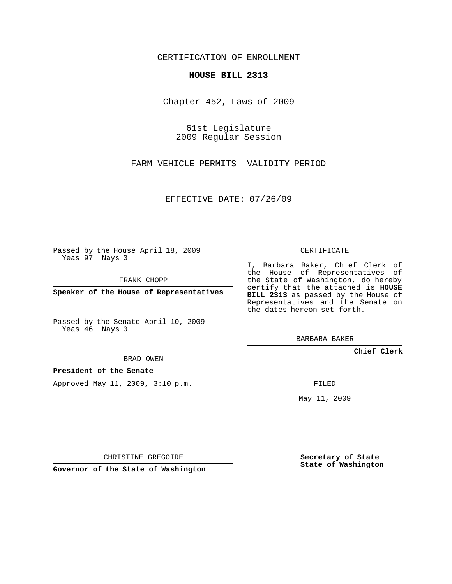CERTIFICATION OF ENROLLMENT

## **HOUSE BILL 2313**

Chapter 452, Laws of 2009

61st Legislature 2009 Regular Session

FARM VEHICLE PERMITS--VALIDITY PERIOD

EFFECTIVE DATE: 07/26/09

Passed by the House April 18, 2009 Yeas 97 Nays 0

FRANK CHOPP

**Speaker of the House of Representatives**

Passed by the Senate April 10, 2009 Yeas 46 Nays 0

BRAD OWEN

**President of the Senate**

Approved May 11, 2009, 3:10 p.m.

CERTIFICATE

I, Barbara Baker, Chief Clerk of the House of Representatives of the State of Washington, do hereby certify that the attached is **HOUSE BILL 2313** as passed by the House of Representatives and the Senate on the dates hereon set forth.

BARBARA BAKER

**Chief Clerk**

FILED

May 11, 2009

**Secretary of State State of Washington**

CHRISTINE GREGOIRE

**Governor of the State of Washington**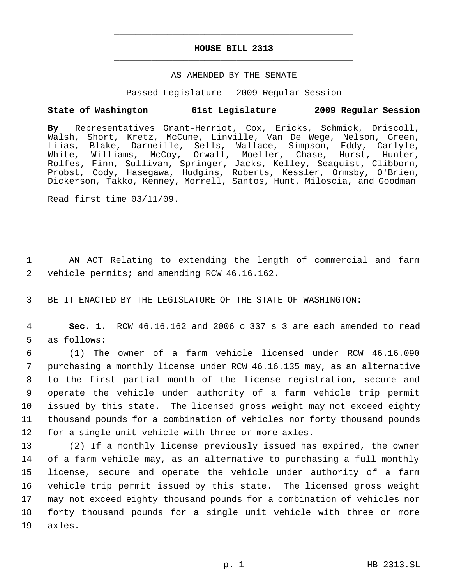# **HOUSE BILL 2313** \_\_\_\_\_\_\_\_\_\_\_\_\_\_\_\_\_\_\_\_\_\_\_\_\_\_\_\_\_\_\_\_\_\_\_\_\_\_\_\_\_\_\_\_\_

\_\_\_\_\_\_\_\_\_\_\_\_\_\_\_\_\_\_\_\_\_\_\_\_\_\_\_\_\_\_\_\_\_\_\_\_\_\_\_\_\_\_\_\_\_

## AS AMENDED BY THE SENATE

Passed Legislature - 2009 Regular Session

## **State of Washington 61st Legislature 2009 Regular Session**

**By** Representatives Grant-Herriot, Cox, Ericks, Schmick, Driscoll, Walsh, Short, Kretz, McCune, Linville, Van De Wege, Nelson, Green, Liias, Blake, Darneille, Sells, Wallace, Simpson, Eddy, Carlyle, White, Williams, McCoy, Orwall, Moeller, Chase, Hurst, Hunter, Rolfes, Finn, Sullivan, Springer, Jacks, Kelley, Seaquist, Clibborn, Probst, Cody, Hasegawa, Hudgins, Roberts, Kessler, Ormsby, O'Brien, Dickerson, Takko, Kenney, Morrell, Santos, Hunt, Miloscia, and Goodman

Read first time 03/11/09.

 1 AN ACT Relating to extending the length of commercial and farm 2 vehicle permits; and amending RCW 46.16.162.

3 BE IT ENACTED BY THE LEGISLATURE OF THE STATE OF WASHINGTON:

 4 **Sec. 1.** RCW 46.16.162 and 2006 c 337 s 3 are each amended to read 5 as follows:

 (1) The owner of a farm vehicle licensed under RCW 46.16.090 purchasing a monthly license under RCW 46.16.135 may, as an alternative to the first partial month of the license registration, secure and operate the vehicle under authority of a farm vehicle trip permit issued by this state. The licensed gross weight may not exceed eighty thousand pounds for a combination of vehicles nor forty thousand pounds for a single unit vehicle with three or more axles.

 (2) If a monthly license previously issued has expired, the owner of a farm vehicle may, as an alternative to purchasing a full monthly license, secure and operate the vehicle under authority of a farm vehicle trip permit issued by this state. The licensed gross weight may not exceed eighty thousand pounds for a combination of vehicles nor forty thousand pounds for a single unit vehicle with three or more 19 axles.